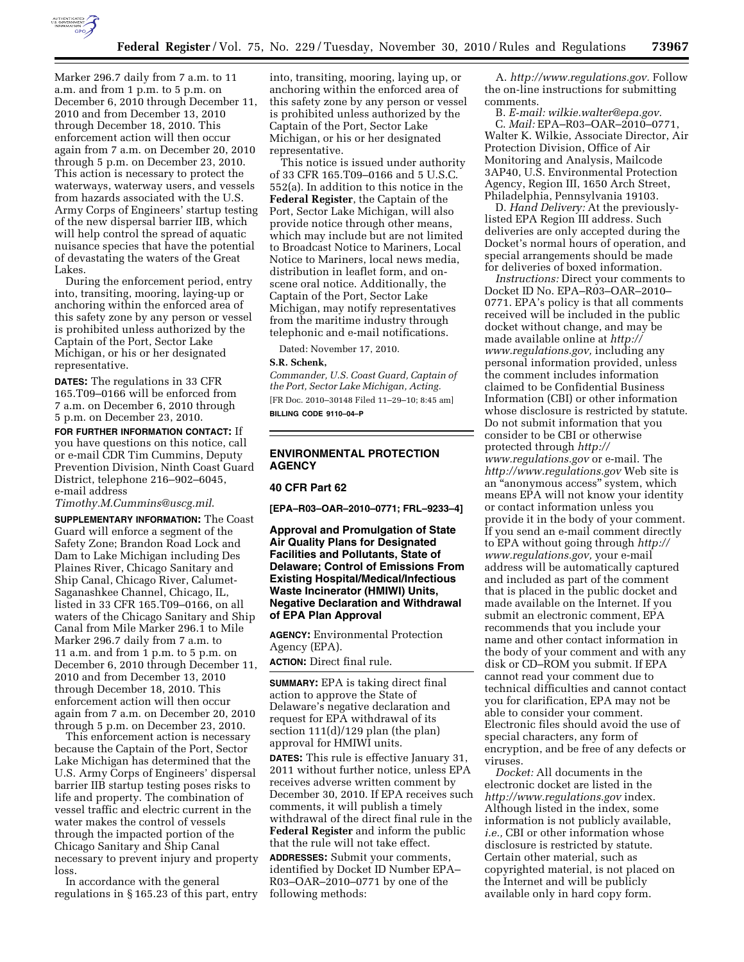

Marker 296.7 daily from 7 a.m. to 11 a.m. and from 1 p.m. to 5 p.m. on December 6, 2010 through December 11, 2010 and from December 13, 2010 through December 18, 2010. This enforcement action will then occur again from 7 a.m. on December 20, 2010 through 5 p.m. on December 23, 2010. This action is necessary to protect the waterways, waterway users, and vessels from hazards associated with the U.S. Army Corps of Engineers' startup testing of the new dispersal barrier IIB, which will help control the spread of aquatic nuisance species that have the potential of devastating the waters of the Great Lakes.

During the enforcement period, entry into, transiting, mooring, laying-up or anchoring within the enforced area of this safety zone by any person or vessel is prohibited unless authorized by the Captain of the Port, Sector Lake Michigan, or his or her designated representative.

**DATES:** The regulations in 33 CFR 165.T09–0166 will be enforced from 7 a.m. on December 6, 2010 through 5 p.m. on December 23, 2010.

**FOR FURTHER INFORMATION CONTACT:** If you have questions on this notice, call or e-mail CDR Tim Cummins, Deputy Prevention Division, Ninth Coast Guard District, telephone 216–902–6045, e-mail address

*[Timothy.M.Cummins@uscg.mil](mailto:Timothy.M.Cummins@uscg.mil)*.

**SUPPLEMENTARY INFORMATION:** The Coast Guard will enforce a segment of the Safety Zone; Brandon Road Lock and Dam to Lake Michigan including Des Plaines River, Chicago Sanitary and Ship Canal, Chicago River, Calumet-Saganashkee Channel, Chicago, IL, listed in 33 CFR 165.T09–0166, on all waters of the Chicago Sanitary and Ship Canal from Mile Marker 296.1 to Mile Marker 296.7 daily from 7 a.m. to 11 a.m. and from 1 p.m. to 5 p.m. on December 6, 2010 through December 11, 2010 and from December 13, 2010 through December 18, 2010. This enforcement action will then occur again from 7 a.m. on December 20, 2010 through 5 p.m. on December 23, 2010.

This enforcement action is necessary because the Captain of the Port, Sector Lake Michigan has determined that the U.S. Army Corps of Engineers' dispersal barrier IIB startup testing poses risks to life and property. The combination of vessel traffic and electric current in the water makes the control of vessels through the impacted portion of the Chicago Sanitary and Ship Canal necessary to prevent injury and property loss.

In accordance with the general regulations in § 165.23 of this part, entry

into, transiting, mooring, laying up, or anchoring within the enforced area of this safety zone by any person or vessel is prohibited unless authorized by the Captain of the Port, Sector Lake Michigan, or his or her designated representative.

This notice is issued under authority of 33 CFR 165.T09–0166 and 5 U.S.C. 552(a). In addition to this notice in the **Federal Register**, the Captain of the Port, Sector Lake Michigan, will also provide notice through other means, which may include but are not limited to Broadcast Notice to Mariners, Local Notice to Mariners, local news media, distribution in leaflet form, and onscene oral notice. Additionally, the Captain of the Port, Sector Lake Michigan, may notify representatives from the maritime industry through telephonic and e-mail notifications.

Dated: November 17, 2010.

#### **S.R. Schenk,**

*Commander, U.S. Coast Guard, Captain of the Port, Sector Lake Michigan, Acting.*  [FR Doc. 2010–30148 Filed 11–29–10; 8:45 am] **BILLING CODE 9110–04–P** 

## **ENVIRONMENTAL PROTECTION AGENCY**

## **40 CFR Part 62**

**[EPA–R03–OAR–2010–0771; FRL–9233–4]** 

## **Approval and Promulgation of State Air Quality Plans for Designated Facilities and Pollutants, State of Delaware; Control of Emissions From Existing Hospital/Medical/Infectious Waste Incinerator (HMIWI) Units, Negative Declaration and Withdrawal of EPA Plan Approval**

**AGENCY:** Environmental Protection Agency (EPA). **ACTION:** Direct final rule.

**SUMMARY:** EPA is taking direct final action to approve the State of Delaware's negative declaration and request for EPA withdrawal of its section 111(d)/129 plan (the plan) approval for HMIWI units.

**DATES:** This rule is effective January 31, 2011 without further notice, unless EPA receives adverse written comment by December 30, 2010. If EPA receives such comments, it will publish a timely withdrawal of the direct final rule in the **Federal Register** and inform the public that the rule will not take effect.

**ADDRESSES:** Submit your comments, identified by Docket ID Number EPA– R03–OAR–2010–0771 by one of the following methods:

A. *[http://www.regulations.gov.](http://www.regulations.gov)* Follow the on-line instructions for submitting comments.

B. *E-mail: [wilkie.walter@epa.gov.](mailto:wilkie.walter@epa.gov)*  C. *Mail:* EPA–R03–OAR–2010–0771, Walter K. Wilkie, Associate Director, Air Protection Division, Office of Air Monitoring and Analysis, Mailcode 3AP40, U.S. Environmental Protection Agency, Region III, 1650 Arch Street, Philadelphia, Pennsylvania 19103.

D. *Hand Delivery:* At the previouslylisted EPA Region III address. Such deliveries are only accepted during the Docket's normal hours of operation, and special arrangements should be made for deliveries of boxed information.

*Instructions:* Direct your comments to Docket ID No. EPA–R03–OAR–2010– 0771. EPA's policy is that all comments received will be included in the public docket without change, and may be made available online at *[http://](http://www.regulations.gov)  [www.regulations.gov,](http://www.regulations.gov)* including any personal information provided, unless the comment includes information claimed to be Confidential Business Information (CBI) or other information whose disclosure is restricted by statute. Do not submit information that you consider to be CBI or otherwise protected through *[http://](http://www.regulations.gov)  [www.regulations.gov](http://www.regulations.gov)* or e-mail. The *<http://www.regulations.gov>* Web site is an ''anonymous access'' system, which means EPA will not know your identity or contact information unless you provide it in the body of your comment. If you send an e-mail comment directly to EPA without going through *[http://](http://www.regulations.gov) [www.regulations.gov,](http://www.regulations.gov)* your e-mail address will be automatically captured and included as part of the comment that is placed in the public docket and made available on the Internet. If you submit an electronic comment, EPA recommends that you include your name and other contact information in the body of your comment and with any disk or CD–ROM you submit. If EPA cannot read your comment due to technical difficulties and cannot contact you for clarification, EPA may not be able to consider your comment. Electronic files should avoid the use of special characters, any form of encryption, and be free of any defects or viruses.

*Docket:* All documents in the electronic docket are listed in the *<http://www.regulations.gov>* index. Although listed in the index, some information is not publicly available, *i.e.,* CBI or other information whose disclosure is restricted by statute. Certain other material, such as copyrighted material, is not placed on the Internet and will be publicly available only in hard copy form.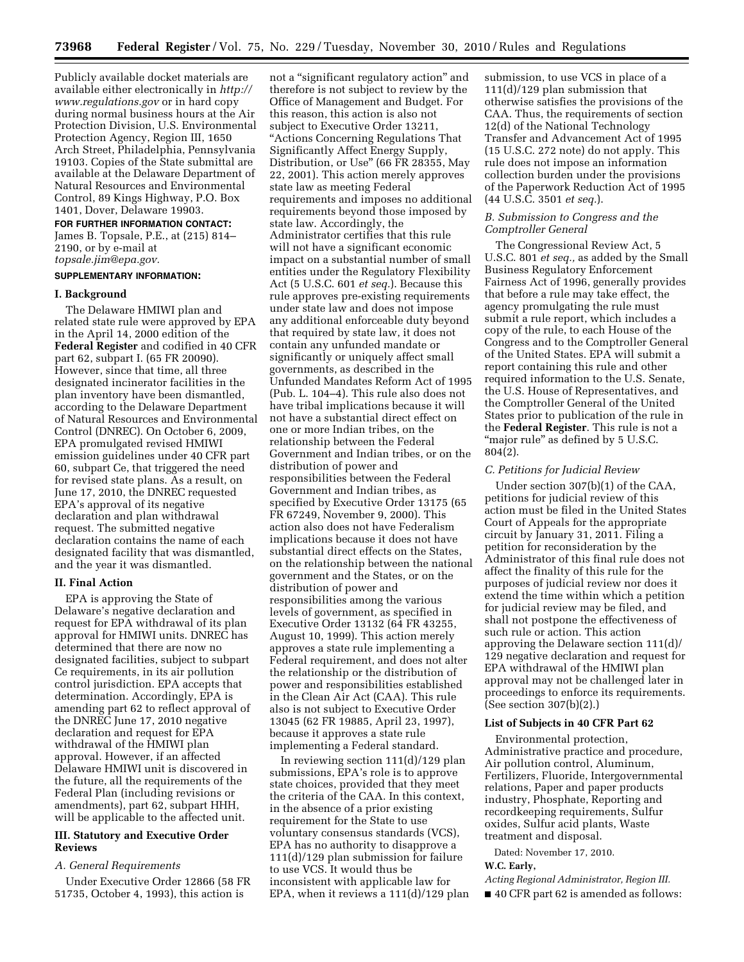Publicly available docket materials are available either electronically in *[http://](http://www.regulations.gov) [www.regulations.gov](http://www.regulations.gov)* or in hard copy during normal business hours at the Air Protection Division, U.S. Environmental Protection Agency, Region III, 1650 Arch Street, Philadelphia, Pennsylvania 19103. Copies of the State submittal are available at the Delaware Department of Natural Resources and Environmental Control, 89 Kings Highway, P.O. Box 1401, Dover, Delaware 19903.

# **FOR FURTHER INFORMATION CONTACT:**

James B. Topsale, P.E., at (215) 814– 2190, or by e-mail at *[topsale.jim@epa.gov.](mailto:topsale.jim@epa.gov)* 

#### **SUPPLEMENTARY INFORMATION:**

### **I. Background**

The Delaware HMIWI plan and related state rule were approved by EPA in the April 14, 2000 edition of the **Federal Register** and codified in 40 CFR part 62, subpart I. (65 FR 20090). However, since that time, all three designated incinerator facilities in the plan inventory have been dismantled, according to the Delaware Department of Natural Resources and Environmental Control (DNREC). On October 6, 2009, EPA promulgated revised HMIWI emission guidelines under 40 CFR part 60, subpart Ce, that triggered the need for revised state plans. As a result, on June 17, 2010, the DNREC requested EPA's approval of its negative declaration and plan withdrawal request. The submitted negative declaration contains the name of each designated facility that was dismantled, and the year it was dismantled.

## **II. Final Action**

EPA is approving the State of Delaware's negative declaration and request for EPA withdrawal of its plan approval for HMIWI units. DNREC has determined that there are now no designated facilities, subject to subpart Ce requirements, in its air pollution control jurisdiction. EPA accepts that determination. Accordingly, EPA is amending part 62 to reflect approval of the DNREC June 17, 2010 negative declaration and request for EPA withdrawal of the HMIWI plan approval. However, if an affected Delaware HMIWI unit is discovered in the future, all the requirements of the Federal Plan (including revisions or amendments), part 62, subpart HHH, will be applicable to the affected unit.

## **III. Statutory and Executive Order Reviews**

## *A. General Requirements*

Under Executive Order 12866 (58 FR 51735, October 4, 1993), this action is

not a ''significant regulatory action'' and therefore is not subject to review by the Office of Management and Budget. For this reason, this action is also not subject to Executive Order 13211, ''Actions Concerning Regulations That Significantly Affect Energy Supply, Distribution, or Use'' (66 FR 28355, May 22, 2001). This action merely approves state law as meeting Federal requirements and imposes no additional requirements beyond those imposed by state law. Accordingly, the Administrator certifies that this rule will not have a significant economic impact on a substantial number of small entities under the Regulatory Flexibility Act (5 U.S.C. 601 *et seq.*). Because this rule approves pre-existing requirements under state law and does not impose any additional enforceable duty beyond that required by state law, it does not contain any unfunded mandate or significantly or uniquely affect small governments, as described in the Unfunded Mandates Reform Act of 1995 (Pub. L. 104–4). This rule also does not have tribal implications because it will not have a substantial direct effect on one or more Indian tribes, on the relationship between the Federal Government and Indian tribes, or on the distribution of power and responsibilities between the Federal Government and Indian tribes, as specified by Executive Order 13175 (65 FR 67249, November 9, 2000). This action also does not have Federalism implications because it does not have substantial direct effects on the States, on the relationship between the national government and the States, or on the distribution of power and responsibilities among the various levels of government, as specified in Executive Order 13132 (64 FR 43255, August 10, 1999). This action merely approves a state rule implementing a Federal requirement, and does not alter the relationship or the distribution of power and responsibilities established in the Clean Air Act (CAA). This rule also is not subject to Executive Order 13045 (62 FR 19885, April 23, 1997), because it approves a state rule implementing a Federal standard.

In reviewing section 111(d)/129 plan submissions, EPA's role is to approve state choices, provided that they meet the criteria of the CAA. In this context, in the absence of a prior existing requirement for the State to use voluntary consensus standards (VCS), EPA has no authority to disapprove a 111(d)/129 plan submission for failure to use VCS. It would thus be inconsistent with applicable law for EPA, when it reviews a 111(d)/129 plan submission, to use VCS in place of a 111(d)/129 plan submission that otherwise satisfies the provisions of the CAA. Thus, the requirements of section 12(d) of the National Technology Transfer and Advancement Act of 1995 (15 U.S.C. 272 note) do not apply. This rule does not impose an information collection burden under the provisions of the Paperwork Reduction Act of 1995 (44 U.S.C. 3501 *et seq.*).

## *B. Submission to Congress and the Comptroller General*

The Congressional Review Act, 5 U.S.C. 801 *et seq.,* as added by the Small Business Regulatory Enforcement Fairness Act of 1996, generally provides that before a rule may take effect, the agency promulgating the rule must submit a rule report, which includes a copy of the rule, to each House of the Congress and to the Comptroller General of the United States. EPA will submit a report containing this rule and other required information to the U.S. Senate, the U.S. House of Representatives, and the Comptroller General of the United States prior to publication of the rule in the **Federal Register**. This rule is not a "major rule" as defined by 5 U.S.C. 804(2).

#### *C. Petitions for Judicial Review*

Under section 307(b)(1) of the CAA, petitions for judicial review of this action must be filed in the United States Court of Appeals for the appropriate circuit by January 31, 2011. Filing a petition for reconsideration by the Administrator of this final rule does not affect the finality of this rule for the purposes of judicial review nor does it extend the time within which a petition for judicial review may be filed, and shall not postpone the effectiveness of such rule or action. This action approving the Delaware section 111(d)/ 129 negative declaration and request for EPA withdrawal of the HMIWI plan approval may not be challenged later in proceedings to enforce its requirements. (See section 307(b)(2).)

### **List of Subjects in 40 CFR Part 62**

Environmental protection, Administrative practice and procedure, Air pollution control, Aluminum, Fertilizers, Fluoride, Intergovernmental relations, Paper and paper products industry, Phosphate, Reporting and recordkeeping requirements, Sulfur oxides, Sulfur acid plants, Waste treatment and disposal.

Dated: November 17, 2010.

# **W.C. Early,**

*Acting Regional Administrator, Region III.*  ■ 40 CFR part 62 is amended as follows: